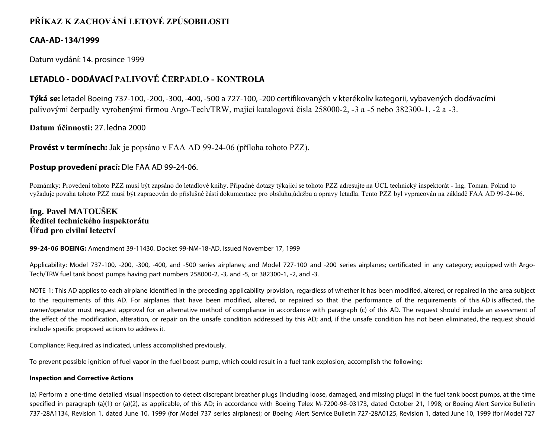# **PŘÍKAZ K ZACHOVÁNÍ LETOVÉ ZPŮSOBILOSTI**

## **CAA-AD-134/1999**

Datum vydání: 14. prosince 1999

# **LETADLO - DODÁVACÍ PALIVOVÉ ČERPADLO - KONTROLA**

**Týká se:** letadel Boeing 737-100, -200, -300, -400, -500 a 727-100, -200 certifikovaných v kterékoliv kategorii, vybavených dodávacími palivovými čerpadly vyrobenými firmou Argo-Tech/TRW, mající katalogová čísla 258000-2, -3 a -5 nebo 382300-1, -2 a -3.

**Datum účinnosti:** 27. ledna 2000

**Provést v termínech:** Jak je popsáno v FAA AD 99-24-06 (příloha tohoto PZZ).

## **Postup provedení prací:** Dle FAA AD 99-24-06.

Poznámky: Provedení tohoto PZZ musí být zapsáno do letadlové knihy. Případné dotazy týkající se tohoto PZZ adresujte na ÚCL technický inspektorát - Ing. Toman. Pokud to vyžaduje povaha tohoto PZZ musí být zapracován do příslušné části dokumentace pro obsluhu,údržbu a opravy letadla. Tento PZZ byl vypracován na základě FAA AD 99-24-06.

## **Ing. Pavel MATOUŠEK Ředitel technického inspektorátu Úřad pro civilní letectví**

## **99-24-06 BOEING:** Amendment 39-11430. Docket 99-NM-18-AD. Issued November 17, 1999

Applicability: Model 737-100, -200, -300, -400, and -500 series airplanes; and Model 727-100 and -200 series airplanes; certificated in any category; equipped with Argo-Tech/TRW fuel tank boost pumps having part numbers 258000-2, -3, and -5, or 382300-1, -2, and -3.

NOTE 1: This AD applies to each airplane identified in the preceding applicability provision, regardless of whether it has been modified, altered, or repaired in the area subject to the requirements of this AD. For airplanes that have been modified, altered, or repaired so that the performance of the requirements of this AD is affected, the owner/operator must request approval for an alternative method of compliance in accordance with paragraph (c) of this AD. The request should include an assessment of the effect of the modification, alteration, or repair on the unsafe condition addressed by this AD; and, if the unsafe condition has not been eliminated, the request should include specific proposed actions to address it.

Compliance: Required as indicated, unless accomplished previously.

To prevent possible ignition of fuel vapor in the fuel boost pump, which could result in a fuel tank explosion, accomplish the following:

## **Inspection and Corrective Actions**

(a) Perform a one-time detailed visual inspection to detect discrepant breather plugs (including loose, damaged, and missing plugs) in the fuel tank boost pumps, at the time specified in paragraph (a)(1) or (a)(2), as applicable, of this AD; in accordance with Boeing Telex M-7200-98-03173, dated October 21, 1998; or Boeing Alert Service Bulletin 737-28A1134, Revision 1, dated June 10, 1999 (for Model 737 series airplanes); or Boeing Alert Service Bulletin 727-28A0125, Revision 1, dated June 10, 1999 (for Model 727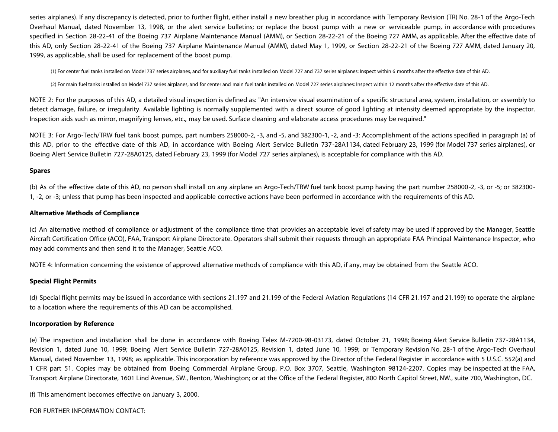series airplanes). If any discrepancy is detected, prior to further flight, either install a new breather plug in accordance with Temporary Revision (TR) No. 28-1 of the Argo-Tech Overhaul Manual, dated November 13, 1998, or the alert service bulletins; or replace the boost pump with a new or serviceable pump, in accordance with procedures specified in Section 28-22-41 of the Boeing 737 Airplane Maintenance Manual (AMM), or Section 28-22-21 of the Boeing 727 AMM, as applicable. After the effective date of this AD, only Section 28-22-41 of the Boeing 737 Airplane Maintenance Manual (AMM), dated May 1, 1999, or Section 28-22-21 of the Boeing 727 AMM, dated January 20, 1999, as applicable, shall be used for replacement of the boost pump.

(1) For center fuel tanks installed on Model 737 series airplanes, and for auxiliary fuel tanks installed on Model 727 and 737 series airplanes: Inspect within 6 months after the effective date of this AD.

(2) For main fuel tanks installed on Model 737 series airplanes, and for center and main fuel tanks installed on Model 727 series airplanes: Inspect within 12 months after the effective date of this AD.

NOTE 2: For the purposes of this AD, a detailed visual inspection is defined as: "An intensive visual examination of a specific structural area, system, installation, or assembly to detect damage, failure, or irregularity. Available lighting is normally supplemented with a direct source of good lighting at intensity deemed appropriate by the inspector. Inspection aids such as mirror, magnifying lenses, etc., may be used. Surface cleaning and elaborate access procedures may be required."

NOTE 3: For Argo-Tech/TRW fuel tank boost pumps, part numbers 258000-2, -3, and -5, and 382300-1, -2, and -3: Accomplishment of the actions specified in paragraph (a) of this AD, prior to the effective date of this AD, in accordance with Boeing Alert Service Bulletin 737-28A1134, dated February 23, 1999 (for Model 737 series airplanes), or Boeing Alert Service Bulletin 727-28A0125, dated February 23, 1999 (for Model 727 series airplanes), is acceptable for compliance with this AD.

### **Spares**

(b) As of the effective date of this AD, no person shall install on any airplane an Argo-Tech/TRW fuel tank boost pump having the part number 258000-2, -3, or -5; or 382300- 1, -2, or -3; unless that pump has been inspected and applicable corrective actions have been performed in accordance with the requirements of this AD.

### **Alternative Methods of Compliance**

(c) An alternative method of compliance or adjustment of the compliance time that provides an acceptable level of safety may be used if approved by the Manager, Seattle Aircraft Certification Office (ACO), FAA, Transport Airplane Directorate. Operators shall submit their requests through an appropriate FAA Principal Maintenance Inspector, who may add comments and then send it to the Manager, Seattle ACO.

NOTE 4: Information concerning the existence of approved alternative methods of compliance with this AD, if any, may be obtained from the Seattle ACO.

### **Special Flight Permits**

(d) Special flight permits may be issued in accordance with sections 21.197 and 21.199 of the Federal Aviation Regulations (14 CFR 21.197 and 21.199) to operate the airplane to a location where the requirements of this AD can be accomplished.

### **Incorporation by Reference**

(e) The inspection and installation shall be done in accordance with Boeing Telex M-7200-98-03173, dated October 21, 1998; Boeing Alert Service Bulletin 737-28A1134, Revision 1, dated June 10, 1999; Boeing Alert Service Bulletin 727-28A0125, Revision 1, dated June 10, 1999; or Temporary Revision No. 28-1 of the Argo-Tech Overhaul Manual, dated November 13, 1998; as applicable. This incorporation by reference was approved by the Director of the Federal Register in accordance with 5 U.S.C. 552(a) and 1 CFR part 51. Copies may be obtained from Boeing Commercial Airplane Group, P.O. Box 3707, Seattle, Washington 98124-2207. Copies may be inspected at the FAA, Transport Airplane Directorate, 1601 Lind Avenue, SW., Renton, Washington; or at the Office of the Federal Register, 800 North Capitol Street, NW., suite 700, Washington, DC.

(f) This amendment becomes effective on January 3, 2000.

FOR FURTHER INFORMATION CONTACT: